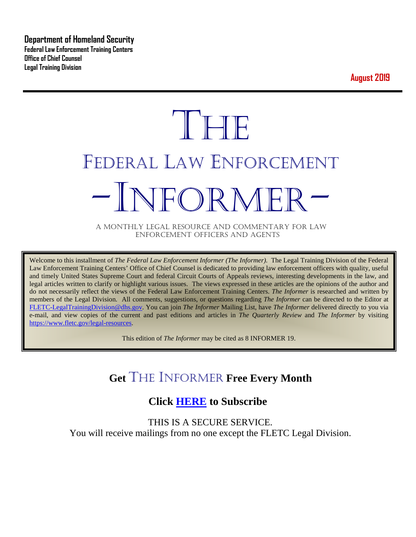**Department of Homeland Security Federal Law Enforcement Training Centers Office of Chief Counsel Legal Training Division** 

**August 2019**

# **THE** FEDERAL LAW ENFORCEMENT -INFORMER- A MONTHLY LEGAL RESOURCE AND COMMENTARY FOR LAW

ENFORCEMENT OFFICERS AND AGENTS

Welcome to this installment of *The Federal Law Enforcement Informer (The Informer).* The Legal Training Division of the Federal Law Enforcement Training Centers' Office of Chief Counsel is dedicated to providing law enforcement officers with quality, useful and timely United States Supreme Court and federal Circuit Courts of Appeals reviews, interesting developments in the law, and legal articles written to clarify or highlight various issues. The views expressed in these articles are the opinions of the author and do not necessarily reflect the views of the Federal Law Enforcement Training Centers. *The Informer* is researched and written by members of the Legal Division. All comments, suggestions, or questions regarding *The Informer* can be directed to the Editor at [FLETC-LegalTrainingDivision@dhs.gov.](mailto:FLETC-LegalTrainingDivision@dhs.gov) You can join *The Informer* Mailing List, have *The Informer* delivered directly to you via e-mail, and view copies of the current and past editions and articles in *The Quarterly Review* and *The Informer* by visiting [https://www.fletc.gov/legal-resources.](https://www.fletc.gov/legal-resources)

This edition of *The Informer* may be cited as 8 INFORMER 19.

# **Get** THE INFORMER **Free Every Month**

## **Click [HERE](https://app.co-sender.com/opt-in/list/7b007eab-378b-4542-807f-44d6de94cb7e) to Subscribe**

THIS IS A SECURE SERVICE. You will receive mailings from no one except the FLETC Legal Division.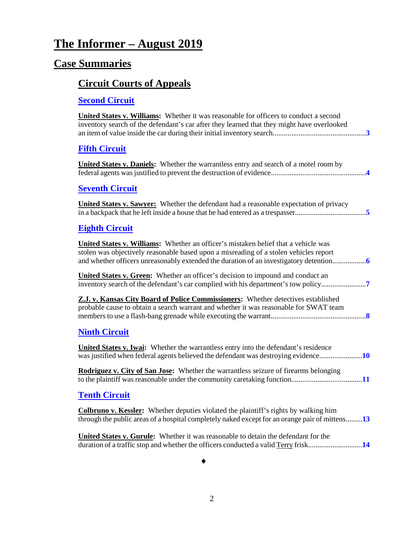# **The Informer – August 2019**

# **Case Summaries**

# **[Circuit Courts of Appeals](#page-2-0)**

# **[Second Circuit](#page-2-1)**

| <b>United States v. Williams:</b> Whether it was reasonable for officers to conduct a second<br>inventory search of the defendant's car after they learned that they might have overlooked    |
|-----------------------------------------------------------------------------------------------------------------------------------------------------------------------------------------------|
| <b>Fifth Circuit</b>                                                                                                                                                                          |
| <b>United States v. Daniels:</b> Whether the warrantless entry and search of a motel room by                                                                                                  |
| <b>Seventh Circuit</b>                                                                                                                                                                        |
| United States v. Sawyer: Whether the defendant had a reasonable expectation of privacy                                                                                                        |
| <b>Eighth Circuit</b>                                                                                                                                                                         |
| United States v. Williams: Whether an officer's mistaken belief that a vehicle was<br>stolen was objectively reasonable based upon a misreading of a stolen vehicles report                   |
| United States v. Green: Whether an officer's decision to impound and conduct an<br>inventory search of the defendant's car complied with his department's tow policy                          |
| Z.J. v. Kansas City Board of Police Commissioners: Whether detectives established<br>probable cause to obtain a search warrant and whether it was reasonable for SWAT team                    |
| <b>Ninth Circuit</b>                                                                                                                                                                          |
| United States v. Iwai: Whether the warrantless entry into the defendant's residence                                                                                                           |
| <b>Rodriguez v. City of San Jose:</b> Whether the warrantless seizure of firearms belonging                                                                                                   |
| <b>Tenth Circuit</b>                                                                                                                                                                          |
| <b>Colbruno v. Kessler:</b> Whether deputies violated the plaintiff's rights by walking him<br>through the public areas of a hospital completely naked except for an orange pair of mittens13 |
| United States v. Gurule: Whether it was reasonable to detain the defendant for the<br>duration of a traffic stop and whether the officers conducted a valid Terry frisk14                     |

♦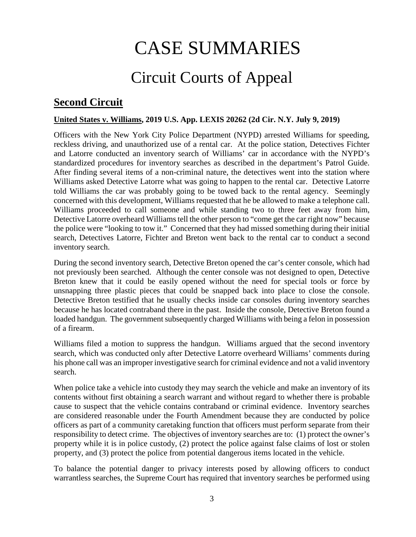# CASE SUMMARIES

# Circuit Courts of Appeal

#### <span id="page-2-1"></span><span id="page-2-0"></span>**Second Circuit**

#### **United States v. Williams, 2019 U.S. App. LEXIS 20262 (2d Cir. N.Y. July 9, 2019)**

Officers with the New York City Police Department (NYPD) arrested Williams for speeding, reckless driving, and unauthorized use of a rental car. At the police station, Detectives Fichter and Latorre conducted an inventory search of Williams' car in accordance with the NYPD's standardized procedures for inventory searches as described in the department's Patrol Guide. After finding several items of a non-criminal nature, the detectives went into the station where Williams asked Detective Latorre what was going to happen to the rental car. Detective Latorre told Williams the car was probably going to be towed back to the rental agency. Seemingly concerned with this development, Williams requested that he be allowed to make a telephone call. Williams proceeded to call someone and while standing two to three feet away from him, Detective Latorre overheard Williams tell the other person to "come get the car right now" because the police were "looking to tow it." Concerned that they had missed something during their initial search, Detectives Latorre, Fichter and Breton went back to the rental car to conduct a second inventory search.

During the second inventory search, Detective Breton opened the car's center console, which had not previously been searched. Although the center console was not designed to open, Detective Breton knew that it could be easily opened without the need for special tools or force by unsnapping three plastic pieces that could be snapped back into place to close the console. Detective Breton testified that he usually checks inside car consoles during inventory searches because he has located contraband there in the past. Inside the console, Detective Breton found a loaded handgun. The government subsequently charged Williams with being a felon in possession of a firearm.

Williams filed a motion to suppress the handgun. Williams argued that the second inventory search, which was conducted only after Detective Latorre overheard Williams' comments during his phone call was an improper investigative search for criminal evidence and not a valid inventory search.

When police take a vehicle into custody they may search the vehicle and make an inventory of its contents without first obtaining a search warrant and without regard to whether there is probable cause to suspect that the vehicle contains contraband or criminal evidence. Inventory searches are considered reasonable under the Fourth Amendment because they are conducted by police officers as part of a community caretaking function that officers must perform separate from their responsibility to detect crime. The objectives of inventory searches are to: (1) protect the owner's property while it is in police custody, (2) protect the police against false claims of lost or stolen property, and (3) protect the police from potential dangerous items located in the vehicle.

To balance the potential danger to privacy interests posed by allowing officers to conduct warrantless searches, the Supreme Court has required that inventory searches be performed using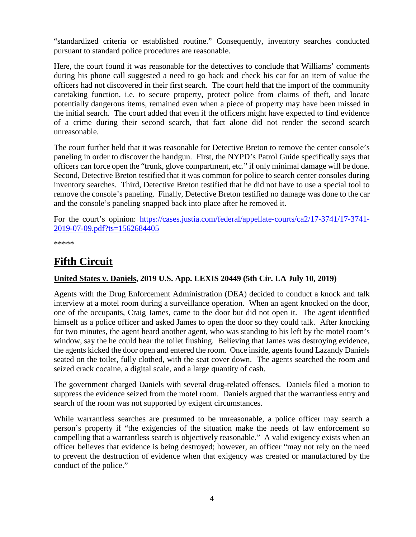"standardized criteria or established routine." Consequently, inventory searches conducted pursuant to standard police procedures are reasonable.

Here, the court found it was reasonable for the detectives to conclude that Williams' comments during his phone call suggested a need to go back and check his car for an item of value the officers had not discovered in their first search. The court held that the import of the community caretaking function, i.e. to secure property, protect police from claims of theft, and locate potentially dangerous items, remained even when a piece of property may have been missed in the initial search. The court added that even if the officers might have expected to find evidence of a crime during their second search, that fact alone did not render the second search unreasonable.

The court further held that it was reasonable for Detective Breton to remove the center console's paneling in order to discover the handgun. First, the NYPD's Patrol Guide specifically says that officers can force open the "trunk, glove compartment, etc." if only minimal damage will be done. Second, Detective Breton testified that it was common for police to search center consoles during inventory searches. Third, Detective Breton testified that he did not have to use a special tool to remove the console's paneling. Finally, Detective Breton testified no damage was done to the car and the console's paneling snapped back into place after he removed it.

For the court's opinion: [https://cases.justia.com/federal/appellate-courts/ca2/17-3741/17-3741-](https://cases.justia.com/federal/appellate-courts/ca2/17-3741/17-3741-2019-07-09.pdf?ts=1562684405) [2019-07-09.pdf?ts=1562684405](https://cases.justia.com/federal/appellate-courts/ca2/17-3741/17-3741-2019-07-09.pdf?ts=1562684405)

\*\*\*\*\*

## <span id="page-3-0"></span>**Fifth Circuit**

#### <span id="page-3-1"></span>**United States v. Daniels, 2019 U.S. App. LEXIS 20449 (5th Cir. LA July 10, 2019)**

Agents with the Drug Enforcement Administration (DEA) decided to conduct a knock and talk interview at a motel room during a surveillance operation. When an agent knocked on the door, one of the occupants, Craig James, came to the door but did not open it. The agent identified himself as a police officer and asked James to open the door so they could talk. After knocking for two minutes, the agent heard another agent, who was standing to his left by the motel room's window, say the he could hear the toilet flushing. Believing that James was destroying evidence, the agents kicked the door open and entered the room. Once inside, agents found Lazandy Daniels seated on the toilet, fully clothed, with the seat cover down. The agents searched the room and seized crack cocaine, a digital scale, and a large quantity of cash.

The government charged Daniels with several drug-related offenses. Daniels filed a motion to suppress the evidence seized from the motel room. Daniels argued that the warrantless entry and search of the room was not supported by exigent circumstances.

While warrantless searches are presumed to be unreasonable, a police officer may search a person's property if "the exigencies of the situation make the needs of law enforcement so compelling that a warrantless search is objectively reasonable." A valid exigency exists when an officer believes that evidence is being destroyed; however, an officer "may not rely on the need to prevent the destruction of evidence when that exigency was created or manufactured by the conduct of the police."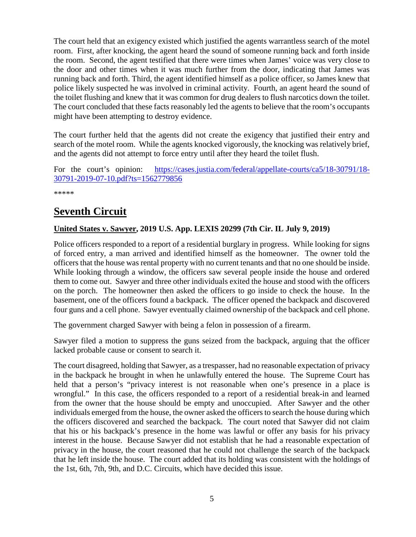The court held that an exigency existed which justified the agents warrantless search of the motel room. First, after knocking, the agent heard the sound of someone running back and forth inside the room. Second, the agent testified that there were times when James' voice was very close to the door and other times when it was much further from the door, indicating that James was running back and forth. Third, the agent identified himself as a police officer, so James knew that police likely suspected he was involved in criminal activity. Fourth, an agent heard the sound of the toilet flushing and knew that it was common for drug dealers to flush narcotics down the toilet. The court concluded that these facts reasonably led the agents to believe that the room's occupants might have been attempting to destroy evidence.

The court further held that the agents did not create the exigency that justified their entry and search of the motel room. While the agents knocked vigorously, the knocking was relatively brief, and the agents did not attempt to force entry until after they heard the toilet flush.

For the court's opinion: [https://cases.justia.com/federal/appellate-courts/ca5/18-30791/18-](https://cases.justia.com/federal/appellate-courts/ca5/18-30791/18-30791-2019-07-10.pdf?ts=1562779856) [30791-2019-07-10.pdf?ts=1562779856](https://cases.justia.com/federal/appellate-courts/ca5/18-30791/18-30791-2019-07-10.pdf?ts=1562779856)

\*\*\*\*\*

## <span id="page-4-0"></span>**Seventh Circuit**

#### <span id="page-4-1"></span>**United States v. Sawyer, 2019 U.S. App. LEXIS 20299 (7th Cir. IL July 9, 2019)**

Police officers responded to a report of a residential burglary in progress. While looking for signs of forced entry, a man arrived and identified himself as the homeowner. The owner told the officers that the house was rental property with no current tenants and that no one should be inside. While looking through a window, the officers saw several people inside the house and ordered them to come out. Sawyer and three other individuals exited the house and stood with the officers on the porch. The homeowner then asked the officers to go inside to check the house. In the basement, one of the officers found a backpack. The officer opened the backpack and discovered four guns and a cell phone. Sawyer eventually claimed ownership of the backpack and cell phone.

The government charged Sawyer with being a felon in possession of a firearm.

Sawyer filed a motion to suppress the guns seized from the backpack, arguing that the officer lacked probable cause or consent to search it.

The court disagreed, holding that Sawyer, as a trespasser, had no reasonable expectation of privacy in the backpack he brought in when he unlawfully entered the house. The Supreme Court has held that a person's "privacy interest is not reasonable when one's presence in a place is wrongful." In this case, the officers responded to a report of a residential break-in and learned from the owner that the house should be empty and unoccupied. After Sawyer and the other individuals emerged from the house, the owner asked the officers to search the house during which the officers discovered and searched the backpack. The court noted that Sawyer did not claim that his or his backpack's presence in the home was lawful or offer any basis for his privacy interest in the house. Because Sawyer did not establish that he had a reasonable expectation of privacy in the house, the court reasoned that he could not challenge the search of the backpack that he left inside the house. The court added that its holding was consistent with the holdings of the 1st, 6th, 7th, 9th, and D.C. Circuits, which have decided this issue.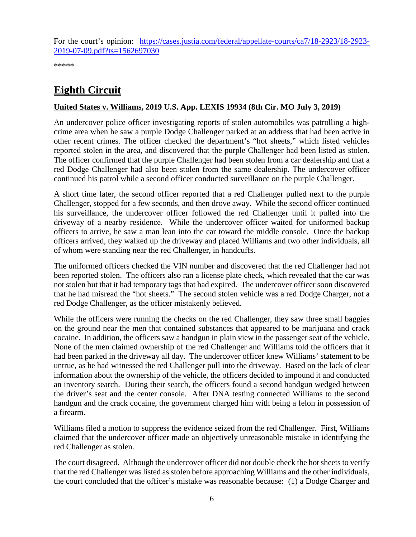For the court's opinion: [https://cases.justia.com/federal/appellate-courts/ca7/18-2923/18-2923-](https://cases.justia.com/federal/appellate-courts/ca7/18-2923/18-2923-2019-07-09.pdf?ts=1562697030) [2019-07-09.pdf?ts=1562697030](https://cases.justia.com/federal/appellate-courts/ca7/18-2923/18-2923-2019-07-09.pdf?ts=1562697030)

\*\*\*\*\*

# <span id="page-5-1"></span>**Eighth Circuit**

#### <span id="page-5-0"></span>**United States v. Williams, 2019 U.S. App. LEXIS 19934 (8th Cir. MO July 3, 2019)**

An undercover police officer investigating reports of stolen automobiles was patrolling a highcrime area when he saw a purple Dodge Challenger parked at an address that had been active in other recent crimes. The officer checked the department's "hot sheets," which listed vehicles reported stolen in the area, and discovered that the purple Challenger had been listed as stolen. The officer confirmed that the purple Challenger had been stolen from a car dealership and that a red Dodge Challenger had also been stolen from the same dealership. The undercover officer continued his patrol while a second officer conducted surveillance on the purple Challenger.

A short time later, the second officer reported that a red Challenger pulled next to the purple Challenger, stopped for a few seconds, and then drove away. While the second officer continued his surveillance, the undercover officer followed the red Challenger until it pulled into the driveway of a nearby residence. While the undercover officer waited for uniformed backup officers to arrive, he saw a man lean into the car toward the middle console. Once the backup officers arrived, they walked up the driveway and placed Williams and two other individuals, all of whom were standing near the red Challenger, in handcuffs.

The uniformed officers checked the VIN number and discovered that the red Challenger had not been reported stolen. The officers also ran a license plate check, which revealed that the car was not stolen but that it had temporary tags that had expired. The undercover officer soon discovered that he had misread the "hot sheets." The second stolen vehicle was a red Dodge Charger, not a red Dodge Challenger, as the officer mistakenly believed.

While the officers were running the checks on the red Challenger, they saw three small baggies on the ground near the men that contained substances that appeared to be marijuana and crack cocaine. In addition, the officers saw a handgun in plain view in the passenger seat of the vehicle. None of the men claimed ownership of the red Challenger and Williams told the officers that it had been parked in the driveway all day. The undercover officer knew Williams' statement to be untrue, as he had witnessed the red Challenger pull into the driveway. Based on the lack of clear information about the ownership of the vehicle, the officers decided to impound it and conducted an inventory search. During their search, the officers found a second handgun wedged between the driver's seat and the center console. After DNA testing connected Williams to the second handgun and the crack cocaine, the government charged him with being a felon in possession of a firearm.

Williams filed a motion to suppress the evidence seized from the red Challenger. First, Williams claimed that the undercover officer made an objectively unreasonable mistake in identifying the red Challenger as stolen.

The court disagreed. Although the undercover officer did not double check the hot sheets to verify that the red Challenger was listed as stolen before approaching Williams and the other individuals, the court concluded that the officer's mistake was reasonable because: (1) a Dodge Charger and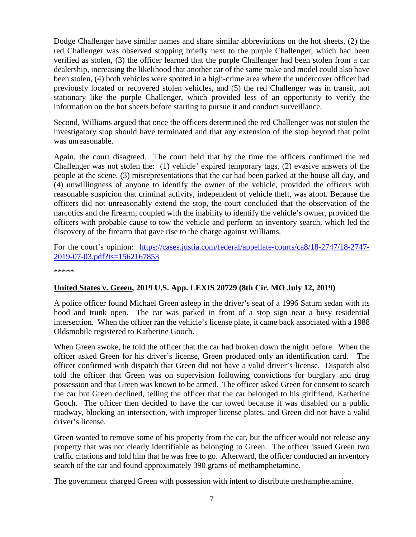Dodge Challenger have similar names and share similar abbreviations on the hot sheets, (2) the red Challenger was observed stopping briefly next to the purple Challenger, which had been verified as stolen, (3) the officer learned that the purple Challenger had been stolen from a car dealership, increasing the likelihood that another car of the same make and model could also have been stolen, (4) both vehicles were spotted in a high-crime area where the undercover officer had previously located or recovered stolen vehicles, and (5) the red Challenger was in transit, not stationary like the purple Challenger, which provided less of an opportunity to verify the information on the hot sheets before starting to pursue it and conduct surveillance.

Second, Williams argued that once the officers determined the red Challenger was not stolen the investigatory stop should have terminated and that any extension of the stop beyond that point was unreasonable.

Again, the court disagreed. The court held that by the time the officers confirmed the red Challenger was not stolen the: (1) vehicle' expired temporary tags, (2) evasive answers of the people at the scene, (3) misrepresentations that the car had been parked at the house all day, and (4) unwillingness of anyone to identify the owner of the vehicle, provided the officers with reasonable suspicion that criminal activity, independent of vehicle theft, was afoot. Because the officers did not unreasonably extend the stop, the court concluded that the observation of the narcotics and the firearm, coupled with the inability to identify the vehicle's owner, provided the officers with probable cause to tow the vehicle and perform an inventory search, which led the discovery of the firearm that gave rise to the charge against Williams.

For the court's opinion: [https://cases.justia.com/federal/appellate-courts/ca8/18-2747/18-2747-](https://cases.justia.com/federal/appellate-courts/ca8/18-2747/18-2747-2019-07-03.pdf?ts=1562167853) [2019-07-03.pdf?ts=1562167853](https://cases.justia.com/federal/appellate-courts/ca8/18-2747/18-2747-2019-07-03.pdf?ts=1562167853)

\*\*\*\*\*

#### <span id="page-6-0"></span>**United States v. Green, 2019 U.S. App. LEXIS 20729 (8th Cir. MO July 12, 2019)**

A police officer found Michael Green asleep in the driver's seat of a 1996 Saturn sedan with its hood and trunk open. The car was parked in front of a stop sign near a busy residential intersection. When the officer ran the vehicle's license plate, it came back associated with a 1988 Oldsmobile registered to Katherine Gooch.

When Green awoke, he told the officer that the car had broken down the night before. When the officer asked Green for his driver's license, Green produced only an identification card. The officer confirmed with dispatch that Green did not have a valid driver's license. Dispatch also told the officer that Green was on supervision following convictions for burglary and drug possession and that Green was known to be armed. The officer asked Green for consent to search the car but Green declined, telling the officer that the car belonged to his girlfriend, Katherine Gooch. The officer then decided to have the car towed because it was disabled on a public roadway, blocking an intersection, with improper license plates, and Green did not have a valid driver's license.

Green wanted to remove some of his property from the car, but the officer would not release any property that was not clearly identifiable as belonging to Green. The officer issued Green two traffic citations and told him that he was free to go. Afterward, the officer conducted an inventory search of the car and found approximately 390 grams of methamphetamine.

The government charged Green with possession with intent to distribute methamphetamine.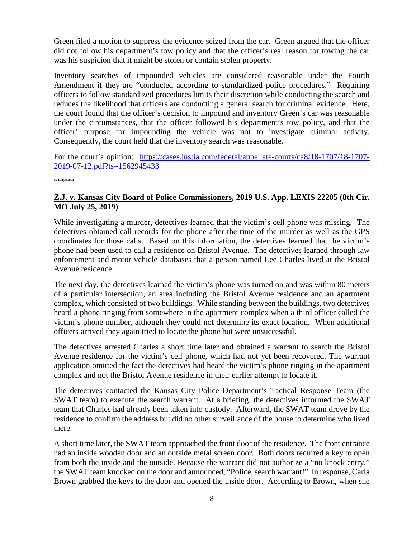Green filed a motion to suppress the evidence seized from the car. Green argued that the officer did not follow his department's tow policy and that the officer's real reason for towing the car was his suspicion that it might be stolen or contain stolen property.

Inventory searches of impounded vehicles are considered reasonable under the Fourth Amendment if they are "conducted according to standardized police procedures." Requiring officers to follow standardized procedures limits their discretion while conducting the search and reduces the likelihood that officers are conducting a general search for criminal evidence. Here, the court found that the officer's decision to impound and inventory Green's car was reasonable under the circumstances, that the officer followed his department's tow policy, and that the officer' purpose for impounding the vehicle was not to investigate criminal activity. Consequently, the court held that the inventory search was reasonable.

For the court's opinion: [https://cases.justia.com/federal/appellate-courts/ca8/18-1707/18-1707-](https://cases.justia.com/federal/appellate-courts/ca8/18-1707/18-1707-2019-07-12.pdf?ts=1562945433) [2019-07-12.pdf?ts=1562945433](https://cases.justia.com/federal/appellate-courts/ca8/18-1707/18-1707-2019-07-12.pdf?ts=1562945433)

\*\*\*\*\*

#### <span id="page-7-0"></span>**Z.J. v. Kansas City Board of Police Commissioners, 2019 U.S. App. LEXIS 22205 (8th Cir. MO July 25, 2019)**

While investigating a murder, detectives learned that the victim's cell phone was missing. The detectives obtained call records for the phone after the time of the murder as well as the GPS coordinates for those calls. Based on this information, the detectives learned that the victim's phone had been used to call a residence on Bristol Avenue. The detectives learned through law enforcement and motor vehicle databases that a person named Lee Charles lived at the Bristol Avenue residence.

The next day, the detectives learned the victim's phone was turned on and was within 80 meters of a particular intersection, an area including the Bristol Avenue residence and an apartment complex, which consisted of two buildings. While standing between the buildings, two detectives heard a phone ringing from somewhere in the apartment complex when a third officer called the victim's phone number, although they could not determine its exact location. When additional officers arrived they again tried to locate the phone but were unsuccessful.

The detectives arrested Charles a short time later and obtained a warrant to search the Bristol Avenue residence for the victim's cell phone, which had not yet been recovered. The warrant application omitted the fact the detectives had heard the victim's phone ringing in the apartment complex and not the Bristol Avenue residence in their earlier attempt to locate it.

The detectives contacted the Kansas City Police Department's Tactical Response Team (the SWAT team) to execute the search warrant. At a briefing, the detectives informed the SWAT team that Charles had already been taken into custody. Afterward, the SWAT team drove by the residence to confirm the address but did no other surveillance of the house to determine who lived there.

A short time later, the SWAT team approached the front door of the residence. The front entrance had an inside wooden door and an outside metal screen door. Both doors required a key to open from both the inside and the outside. Because the warrant did not authorize a "no knock entry," the SWAT team knocked on the door and announced, "Police, search warrant!" In response, Carla Brown grabbed the keys to the door and opened the inside door. According to Brown, when she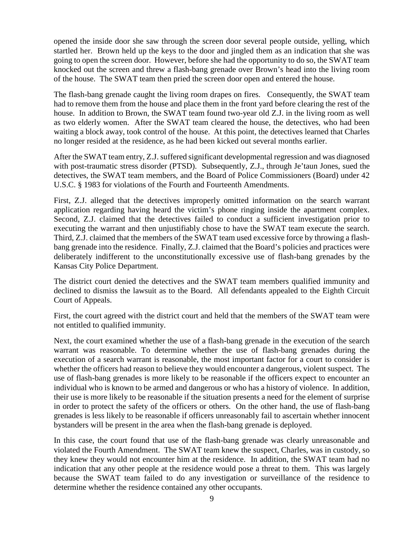opened the inside door she saw through the screen door several people outside, yelling, which startled her. Brown held up the keys to the door and jingled them as an indication that she was going to open the screen door. However, before she had the opportunity to do so, the SWAT team knocked out the screen and threw a flash-bang grenade over Brown's head into the living room of the house. The SWAT team then pried the screen door open and entered the house.

The flash-bang grenade caught the living room drapes on fires. Consequently, the SWAT team had to remove them from the house and place them in the front yard before clearing the rest of the house. In addition to Brown, the SWAT team found two-year old Z.J. in the living room as well as two elderly women. After the SWAT team cleared the house, the detectives, who had been waiting a block away, took control of the house. At this point, the detectives learned that Charles no longer resided at the residence, as he had been kicked out several months earlier.

After the SWAT team entry, Z.J. suffered significant developmental regression and was diagnosed with post-traumatic stress disorder (PTSD). Subsequently, Z.J., through Je'taun Jones, sued the detectives, the SWAT team members, and the Board of Police Commissioners (Board) under 42 U.S.C. § 1983 for violations of the Fourth and Fourteenth Amendments.

First, Z.J. alleged that the detectives improperly omitted information on the search warrant application regarding having heard the victim's phone ringing inside the apartment complex. Second, Z.J. claimed that the detectives failed to conduct a sufficient investigation prior to executing the warrant and then unjustifiably chose to have the SWAT team execute the search. Third, Z.J. claimed that the members of the SWAT team used excessive force by throwing a flashbang grenade into the residence. Finally, Z.J. claimed that the Board's policies and practices were deliberately indifferent to the unconstitutionally excessive use of flash-bang grenades by the Kansas City Police Department.

The district court denied the detectives and the SWAT team members qualified immunity and declined to dismiss the lawsuit as to the Board. All defendants appealed to the Eighth Circuit Court of Appeals.

First, the court agreed with the district court and held that the members of the SWAT team were not entitled to qualified immunity.

Next, the court examined whether the use of a flash-bang grenade in the execution of the search warrant was reasonable. To determine whether the use of flash-bang grenades during the execution of a search warrant is reasonable, the most important factor for a court to consider is whether the officers had reason to believe they would encounter a dangerous, violent suspect. The use of flash-bang grenades is more likely to be reasonable if the officers expect to encounter an individual who is known to be armed and dangerous or who has a history of violence. In addition, their use is more likely to be reasonable if the situation presents a need for the element of surprise in order to protect the safety of the officers or others. On the other hand, the use of flash-bang grenades is less likely to be reasonable if officers unreasonably fail to ascertain whether innocent bystanders will be present in the area when the flash-bang grenade is deployed.

In this case, the court found that use of the flash-bang grenade was clearly unreasonable and violated the Fourth Amendment. The SWAT team knew the suspect, Charles, was in custody, so they knew they would not encounter him at the residence. In addition, the SWAT team had no indication that any other people at the residence would pose a threat to them. This was largely because the SWAT team failed to do any investigation or surveillance of the residence to determine whether the residence contained any other occupants.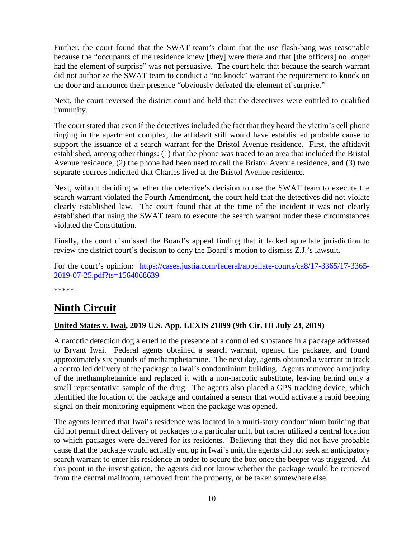Further, the court found that the SWAT team's claim that the use flash-bang was reasonable because the "occupants of the residence knew [they] were there and that [the officers] no longer had the element of surprise" was not persuasive. The court held that because the search warrant did not authorize the SWAT team to conduct a "no knock" warrant the requirement to knock on the door and announce their presence "obviously defeated the element of surprise."

Next, the court reversed the district court and held that the detectives were entitled to qualified immunity.

The court stated that even if the detectives included the fact that they heard the victim's cell phone ringing in the apartment complex, the affidavit still would have established probable cause to support the issuance of a search warrant for the Bristol Avenue residence. First, the affidavit established, among other things: (1) that the phone was traced to an area that included the Bristol Avenue residence, (2) the phone had been used to call the Bristol Avenue residence, and (3) two separate sources indicated that Charles lived at the Bristol Avenue residence.

Next, without deciding whether the detective's decision to use the SWAT team to execute the search warrant violated the Fourth Amendment, the court held that the detectives did not violate clearly established law. The court found that at the time of the incident it was not clearly established that using the SWAT team to execute the search warrant under these circumstances violated the Constitution.

Finally, the court dismissed the Board's appeal finding that it lacked appellate jurisdiction to review the district court's decision to deny the Board's motion to dismiss Z.J.'s lawsuit.

For the court's opinion: [https://cases.justia.com/federal/appellate-courts/ca8/17-3365/17-3365-](https://cases.justia.com/federal/appellate-courts/ca8/17-3365/17-3365-2019-07-25.pdf?ts=1564068639) [2019-07-25.pdf?ts=1564068639](https://cases.justia.com/federal/appellate-courts/ca8/17-3365/17-3365-2019-07-25.pdf?ts=1564068639)

\*\*\*\*\*

## <span id="page-9-0"></span>**Ninth Circuit**

#### <span id="page-9-1"></span>**United States v. Iwai, 2019 U.S. App. LEXIS 21899 (9th Cir. HI July 23, 2019)**

A narcotic detection dog alerted to the presence of a controlled substance in a package addressed to Bryant Iwai. Federal agents obtained a search warrant, opened the package, and found approximately six pounds of methamphetamine. The next day, agents obtained a warrant to track a controlled delivery of the package to Iwai's condominium building. Agents removed a majority of the methamphetamine and replaced it with a non-narcotic substitute, leaving behind only a small representative sample of the drug. The agents also placed a GPS tracking device, which identified the location of the package and contained a sensor that would activate a rapid beeping signal on their monitoring equipment when the package was opened.

The agents learned that Iwai's residence was located in a multi-story condominium building that did not permit direct delivery of packages to a particular unit, but rather utilized a central location to which packages were delivered for its residents. Believing that they did not have probable cause that the package would actually end up in Iwai's unit, the agents did not seek an anticipatory search warrant to enter his residence in order to secure the box once the beeper was triggered. At this point in the investigation, the agents did not know whether the package would be retrieved from the central mailroom, removed from the property, or be taken somewhere else.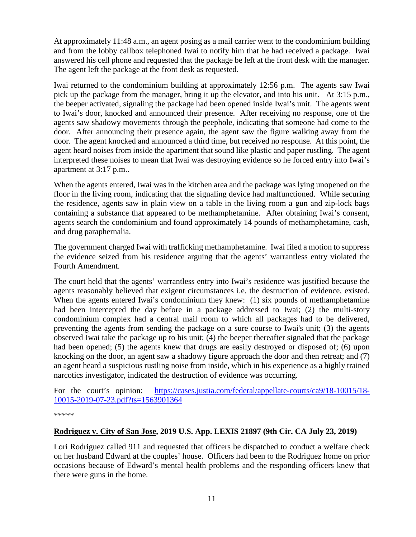At approximately 11:48 a.m., an agent posing as a mail carrier went to the condominium building and from the lobby callbox telephoned Iwai to notify him that he had received a package. Iwai answered his cell phone and requested that the package be left at the front desk with the manager. The agent left the package at the front desk as requested.

Iwai returned to the condominium building at approximately 12:56 p.m. The agents saw Iwai pick up the package from the manager, bring it up the elevator, and into his unit. At 3:15 p.m., the beeper activated, signaling the package had been opened inside Iwai's unit. The agents went to Iwai's door, knocked and announced their presence. After receiving no response, one of the agents saw shadowy movements through the peephole, indicating that someone had come to the door. After announcing their presence again, the agent saw the figure walking away from the door. The agent knocked and announced a third time, but received no response. At this point, the agent heard noises from inside the apartment that sound like plastic and paper rustling. The agent interpreted these noises to mean that Iwai was destroying evidence so he forced entry into Iwai's apartment at 3:17 p.m..

When the agents entered, Iwai was in the kitchen area and the package was lying unopened on the floor in the living room, indicating that the signaling device had malfunctioned. While securing the residence, agents saw in plain view on a table in the living room a gun and zip-lock bags containing a substance that appeared to be methamphetamine. After obtaining Iwai's consent, agents search the condominium and found approximately 14 pounds of methamphetamine, cash, and drug paraphernalia.

The government charged Iwai with trafficking methamphetamine. Iwai filed a motion to suppress the evidence seized from his residence arguing that the agents' warrantless entry violated the Fourth Amendment.

The court held that the agents' warrantless entry into Iwai's residence was justified because the agents reasonably believed that exigent circumstances i.e. the destruction of evidence, existed. When the agents entered Iwai's condominium they knew: (1) six pounds of methamphetamine had been intercepted the day before in a package addressed to Iwai; (2) the multi-story condominium complex had a central mail room to which all packages had to be delivered, preventing the agents from sending the package on a sure course to Iwai's unit; (3) the agents observed Iwai take the package up to his unit; (4) the beeper thereafter signaled that the package had been opened; (5) the agents knew that drugs are easily destroyed or disposed of; (6) upon knocking on the door, an agent saw a shadowy figure approach the door and then retreat; and (7) an agent heard a suspicious rustling noise from inside, which in his experience as a highly trained narcotics investigator, indicated the destruction of evidence was occurring.

For the court's opinion: [https://cases.justia.com/federal/appellate-courts/ca9/18-10015/18-](https://cases.justia.com/federal/appellate-courts/ca9/18-10015/18-10015-2019-07-23.pdf?ts=1563901364) [10015-2019-07-23.pdf?ts=1563901364](https://cases.justia.com/federal/appellate-courts/ca9/18-10015/18-10015-2019-07-23.pdf?ts=1563901364)

\*\*\*\*\*

#### <span id="page-10-0"></span>**Rodriguez v. City of San Jose, 2019 U.S. App. LEXIS 21897 (9th Cir. CA July 23, 2019)**

Lori Rodriguez called 911 and requested that officers be dispatched to conduct a welfare check on her husband Edward at the couples' house. Officers had been to the Rodriguez home on prior occasions because of Edward's mental health problems and the responding officers knew that there were guns in the home.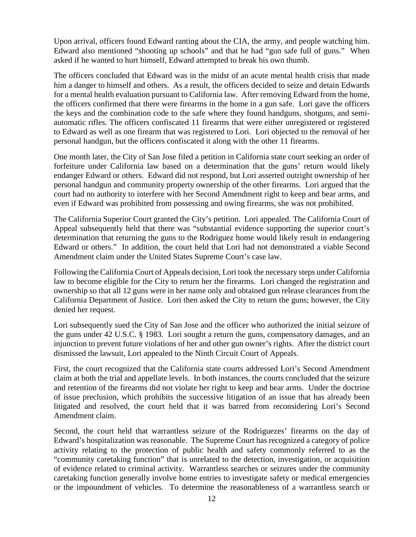Upon arrival, officers found Edward ranting about the CIA, the army, and people watching him. Edward also mentioned "shooting up schools" and that he had "gun safe full of guns." When asked if he wanted to hurt himself, Edward attempted to break his own thumb.

The officers concluded that Edward was in the midst of an acute mental health crisis that made him a danger to himself and others. As a result, the officers decided to seize and detain Edwards for a mental health evaluation pursuant to California law. After removing Edward from the home, the officers confirmed that there were firearms in the home in a gun safe. Lori gave the officers the keys and the combination code to the safe where they found handguns, shotguns, and semiautomatic rifles. The officers confiscated 11 firearms that were either unregistered or registered to Edward as well as one firearm that was registered to Lori. Lori objected to the removal of her personal handgun, but the officers confiscated it along with the other 11 firearms.

One month later, the City of San Jose filed a petition in California state court seeking an order of forfeiture under California law based on a determination that the guns' return would likely endanger Edward or others. Edward did not respond, but Lori asserted outright ownership of her personal handgun and community property ownership of the other firearms. Lori argued that the court had no authority to interfere with her Second Amendment right to keep and bear arms, and even if Edward was prohibited from possessing and owing firearms, she was not prohibited.

The California Superior Court granted the City's petition. Lori appealed. The California Court of Appeal subsequently held that there was "substantial evidence supporting the superior court's determination that returning the guns to the Rodriguez home would likely result in endangering Edward or others." In addition, the court held that Lori had not demonstrated a viable Second Amendment claim under the United States Supreme Court's case law.

Following the California Court of Appeals decision, Lori took the necessary steps under California law to become eligible for the City to return her the firearms. Lori changed the registration and ownership so that all 12 guns were in her name only and obtained gun release clearances from the California Department of Justice. Lori then asked the City to return the guns; however, the City denied her request.

Lori subsequently sued the City of San Jose and the officer who authorized the initial seizure of the guns under 42 U.S.C. § 1983. Lori sought a return the guns, compensatory damages, and an injunction to prevent future violations of her and other gun owner's rights. After the district court dismissed the lawsuit, Lori appealed to the Ninth Circuit Court of Appeals.

First, the court recognized that the California state courts addressed Lori's Second Amendment claim at both the trial and appellate levels. In both instances, the courts concluded that the seizure and retention of the firearms did not violate her right to keep and bear arms. Under the doctrine of issue preclusion, which prohibits the successive litigation of an issue that has already been litigated and resolved, the court held that it was barred from reconsidering Lori's Second Amendment claim.

Second, the court held that warrantless seizure of the Rodriguezes' firearms on the day of Edward's hospitalization was reasonable. The Supreme Court has recognized a category of police activity relating to the protection of public health and safety commonly referred to as the "community caretaking function" that is unrelated to the detection, investigation, or acquisition of evidence related to criminal activity. Warrantless searches or seizures under the community caretaking function generally involve home entries to investigate safety or medical emergencies or the impoundment of vehicles. To determine the reasonableness of a warrantless search or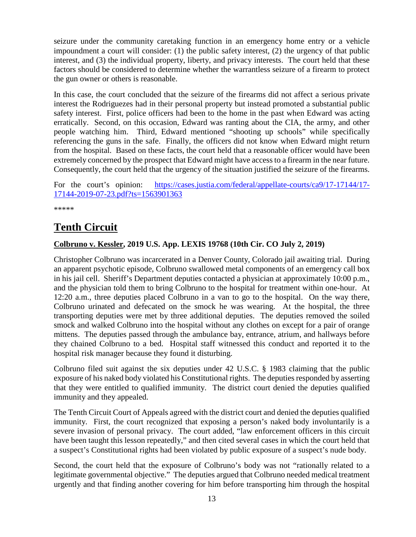seizure under the community caretaking function in an emergency home entry or a vehicle impoundment a court will consider: (1) the public safety interest, (2) the urgency of that public interest, and (3) the individual property, liberty, and privacy interests. The court held that these factors should be considered to determine whether the warrantless seizure of a firearm to protect the gun owner or others is reasonable.

In this case, the court concluded that the seizure of the firearms did not affect a serious private interest the Rodriguezes had in their personal property but instead promoted a substantial public safety interest. First, police officers had been to the home in the past when Edward was acting erratically. Second, on this occasion, Edward was ranting about the CIA, the army, and other people watching him. Third, Edward mentioned "shooting up schools" while specifically referencing the guns in the safe. Finally, the officers did not know when Edward might return from the hospital. Based on these facts, the court held that a reasonable officer would have been extremely concerned by the prospect that Edward might have access to a firearm in the near future. Consequently, the court held that the urgency of the situation justified the seizure of the firearms.

For the court's opinion: [https://cases.justia.com/federal/appellate-courts/ca9/17-17144/17-](https://cases.justia.com/federal/appellate-courts/ca9/17-17144/17-17144-2019-07-23.pdf?ts=1563901363) [17144-2019-07-23.pdf?ts=1563901363](https://cases.justia.com/federal/appellate-courts/ca9/17-17144/17-17144-2019-07-23.pdf?ts=1563901363)

\*\*\*\*\*

# <span id="page-12-0"></span>**Tenth Circuit**

#### <span id="page-12-1"></span>**Colbruno v. Kessler, 2019 U.S. App. LEXIS 19768 (10th Cir. CO July 2, 2019)**

Christopher Colbruno was incarcerated in a Denver County, Colorado jail awaiting trial. During an apparent psychotic episode, Colbruno swallowed metal components of an emergency call box in his jail cell. Sheriff's Department deputies contacted a physician at approximately 10:00 p.m., and the physician told them to bring Colbruno to the hospital for treatment within one-hour. At 12:20 a.m., three deputies placed Colbruno in a van to go to the hospital. On the way there, Colbruno urinated and defecated on the smock he was wearing. At the hospital, the three transporting deputies were met by three additional deputies. The deputies removed the soiled smock and walked Colbruno into the hospital without any clothes on except for a pair of orange mittens. The deputies passed through the ambulance bay, entrance, atrium, and hallways before they chained Colbruno to a bed. Hospital staff witnessed this conduct and reported it to the hospital risk manager because they found it disturbing.

Colbruno filed suit against the six deputies under 42 U.S.C. § 1983 claiming that the public exposure of his naked body violated his Constitutional rights. The deputies responded by asserting that they were entitled to qualified immunity. The district court denied the deputies qualified immunity and they appealed.

The Tenth Circuit Court of Appeals agreed with the district court and denied the deputies qualified immunity. First, the court recognized that exposing a person's naked body involuntarily is a severe invasion of personal privacy. The court added, "law enforcement officers in this circuit have been taught this lesson repeatedly," and then cited several cases in which the court held that a suspect's Constitutional rights had been violated by public exposure of a suspect's nude body.

Second, the court held that the exposure of Colbruno's body was not "rationally related to a legitimate governmental objective." The deputies argued that Colbruno needed medical treatment urgently and that finding another covering for him before transporting him through the hospital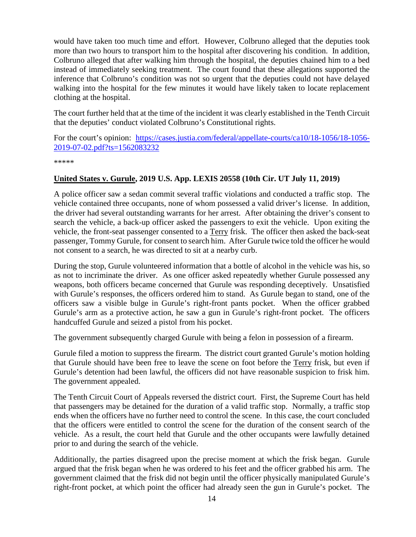would have taken too much time and effort. However, Colbruno alleged that the deputies took more than two hours to transport him to the hospital after discovering his condition. In addition, Colbruno alleged that after walking him through the hospital, the deputies chained him to a bed instead of immediately seeking treatment. The court found that these allegations supported the inference that Colbruno's condition was not so urgent that the deputies could not have delayed walking into the hospital for the few minutes it would have likely taken to locate replacement clothing at the hospital.

The court further held that at the time of the incident it was clearly established in the Tenth Circuit that the deputies' conduct violated Colbruno's Constitutional rights.

For the court's opinion: [https://cases.justia.com/federal/appellate-courts/ca10/18-1056/18-1056-](https://cases.justia.com/federal/appellate-courts/ca10/18-1056/18-1056-2019-07-02.pdf?ts=1562083232) [2019-07-02.pdf?ts=1562083232](https://cases.justia.com/federal/appellate-courts/ca10/18-1056/18-1056-2019-07-02.pdf?ts=1562083232)

\*\*\*\*\*

#### <span id="page-13-0"></span>**United States v. Gurule, 2019 U.S. App. LEXIS 20558 (10th Cir. UT July 11, 2019)**

A police officer saw a sedan commit several traffic violations and conducted a traffic stop. The vehicle contained three occupants, none of whom possessed a valid driver's license. In addition, the driver had several outstanding warrants for her arrest. After obtaining the driver's consent to search the vehicle, a back-up officer asked the passengers to exit the vehicle. Upon exiting the vehicle, the front-seat passenger consented to a Terry frisk. The officer then asked the back-seat passenger, Tommy Gurule, for consent to search him. After Gurule twice told the officer he would not consent to a search, he was directed to sit at a nearby curb.

During the stop, Gurule volunteered information that a bottle of alcohol in the vehicle was his, so as not to incriminate the driver. As one officer asked repeatedly whether Gurule possessed any weapons, both officers became concerned that Gurule was responding deceptively. Unsatisfied with Gurule's responses, the officers ordered him to stand. As Gurule began to stand, one of the officers saw a visible bulge in Gurule's right-front pants pocket. When the officer grabbed Gurule's arm as a protective action, he saw a gun in Gurule's right-front pocket. The officers handcuffed Gurule and seized a pistol from his pocket.

The government subsequently charged Gurule with being a felon in possession of a firearm.

Gurule filed a motion to suppress the firearm. The district court granted Gurule's motion holding that Gurule should have been free to leave the scene on foot before the Terry frisk, but even if Gurule's detention had been lawful, the officers did not have reasonable suspicion to frisk him. The government appealed.

The Tenth Circuit Court of Appeals reversed the district court. First, the Supreme Court has held that passengers may be detained for the duration of a valid traffic stop. Normally, a traffic stop ends when the officers have no further need to control the scene. In this case, the court concluded that the officers were entitled to control the scene for the duration of the consent search of the vehicle. As a result, the court held that Gurule and the other occupants were lawfully detained prior to and during the search of the vehicle.

Additionally, the parties disagreed upon the precise moment at which the frisk began. Gurule argued that the frisk began when he was ordered to his feet and the officer grabbed his arm. The government claimed that the frisk did not begin until the officer physically manipulated Gurule's right-front pocket, at which point the officer had already seen the gun in Gurule's pocket. The